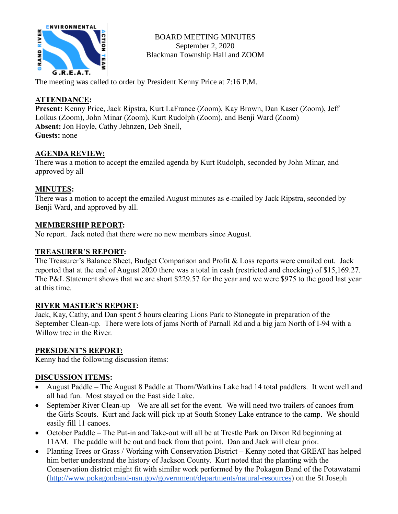

BOARD MEETING MINUTES September 2, 2020 Blackman Township Hall and ZOOM

The meeting was called to order by President Kenny Price at 7:16 P.M.

### **ATTENDANCE:**

**Present:** Kenny Price, Jack Ripstra, Kurt LaFrance (Zoom), Kay Brown, Dan Kaser (Zoom), Jeff Lolkus (Zoom), John Minar (Zoom), Kurt Rudolph (Zoom), and Benji Ward (Zoom) **Absent:** Jon Hoyle, Cathy Jehnzen, Deb Snell, **Guests:** none

### **AGENDA REVIEW:**

There was a motion to accept the emailed agenda by Kurt Rudolph, seconded by John Minar, and approved by all

### **MINUTES:**

There was a motion to accept the emailed August minutes as e-mailed by Jack Ripstra, seconded by Benji Ward, and approved by all.

### **MEMBERSHIP REPORT:**

No report. Jack noted that there were no new members since August.

# **TREASURER'S REPORT:**

The Treasurer's Balance Sheet, Budget Comparison and Profit & Loss reports were emailed out. Jack reported that at the end of August 2020 there was a total in cash (restricted and checking) of \$15,169.27. The P&L Statement shows that we are short \$229.57 for the year and we were \$975 to the good last year at this time.

### **RIVER MASTER'S REPORT:**

Jack, Kay, Cathy, and Dan spent 5 hours clearing Lions Park to Stonegate in preparation of the September Clean-up. There were lots of jams North of Parnall Rd and a big jam North of I-94 with a Willow tree in the River.

### **PRESIDENT'S REPORT:**

Kenny had the following discussion items:

# **DISCUSSION ITEMS:**

- August Paddle The August 8 Paddle at Thorn/Watkins Lake had 14 total paddlers. It went well and all had fun. Most stayed on the East side Lake.
- September River Clean-up We are all set for the event. We will need two trailers of canoes from the Girls Scouts. Kurt and Jack will pick up at South Stoney Lake entrance to the camp. We should easily fill 11 canoes.
- October Paddle The Put-in and Take-out will all be at Trestle Park on Dixon Rd beginning at 11AM. The paddle will be out and back from that point. Dan and Jack will clear prior.
- Planting Trees or Grass / Working with Conservation District Kenny noted that GREAT has helped him better understand the history of Jackson County. Kurt noted that the planting with the Conservation district might fit with similar work performed by the Pokagon Band of the Potawatami [\(http://www.pokagonband-nsn.gov/government/departments/natural-resources\)](http://www.pokagonband-nsn.gov/government/departments/natural-resources) on the St Joseph